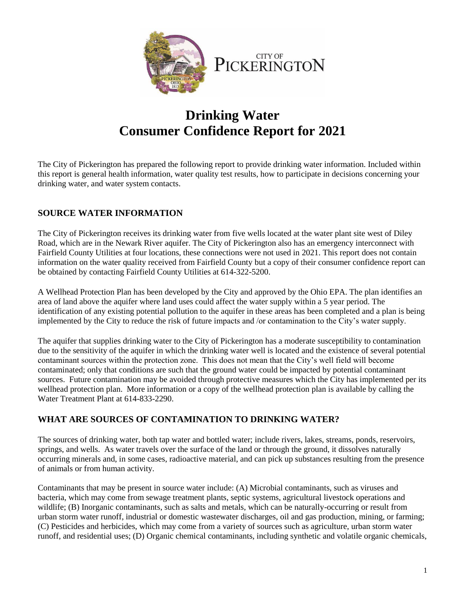

# **Drinking Water Consumer Confidence Report for 2021**

The City of Pickerington has prepared the following report to provide drinking water information. Included within this report is general health information, water quality test results, how to participate in decisions concerning your drinking water, and water system contacts.

# **SOURCE WATER INFORMATION**

The City of Pickerington receives its drinking water from five wells located at the water plant site west of Diley Road, which are in the Newark River aquifer. The City of Pickerington also has an emergency interconnect with Fairfield County Utilities at four locations, these connections were not used in 2021. This report does not contain information on the water quality received from Fairfield County but a copy of their consumer confidence report can be obtained by contacting Fairfield County Utilities at 614-322-5200.

A Wellhead Protection Plan has been developed by the City and approved by the Ohio EPA. The plan identifies an area of land above the aquifer where land uses could affect the water supply within a 5 year period. The identification of any existing potential pollution to the aquifer in these areas has been completed and a plan is being implemented by the City to reduce the risk of future impacts and /or contamination to the City's water supply.

The aquifer that supplies drinking water to the City of Pickerington has a moderate susceptibility to contamination due to the sensitivity of the aquifer in which the drinking water well is located and the existence of several potential contaminant sources within the protection zone. This does not mean that the City's well field will become contaminated; only that conditions are such that the ground water could be impacted by potential contaminant sources. Future contamination may be avoided through protective measures which the City has implemented per its wellhead protection plan. More information or a copy of the wellhead protection plan is available by calling the Water Treatment Plant at 614-833-2290.

#### **WHAT ARE SOURCES OF CONTAMINATION TO DRINKING WATER?**

The sources of drinking water, both tap water and bottled water; include rivers, lakes, streams, ponds, reservoirs, springs, and wells. As water travels over the surface of the land or through the ground, it dissolves naturally occurring minerals and, in some cases, radioactive material, and can pick up substances resulting from the presence of animals or from human activity.

Contaminants that may be present in source water include: (A) Microbial contaminants, such as viruses and bacteria, which may come from sewage treatment plants, septic systems, agricultural livestock operations and wildlife; (B) Inorganic contaminants, such as salts and metals, which can be naturally-occurring or result from urban storm water runoff, industrial or domestic wastewater discharges, oil and gas production, mining, or farming; (C) Pesticides and herbicides, which may come from a variety of sources such as agriculture, urban storm water runoff, and residential uses; (D) Organic chemical contaminants, including synthetic and volatile organic chemicals,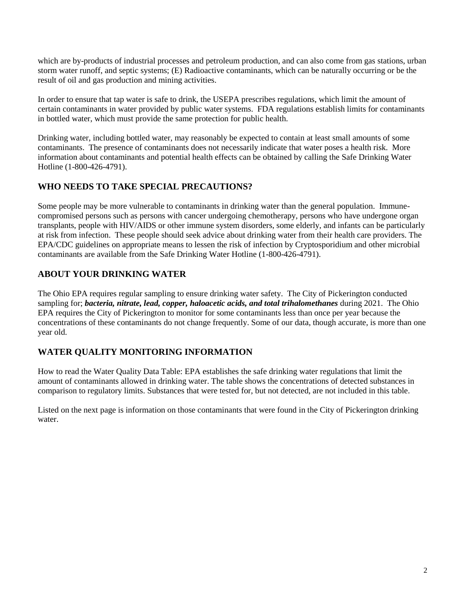which are by-products of industrial processes and petroleum production, and can also come from gas stations, urban storm water runoff, and septic systems; (E) Radioactive contaminants, which can be naturally occurring or be the result of oil and gas production and mining activities.

In order to ensure that tap water is safe to drink, the USEPA prescribes regulations, which limit the amount of certain contaminants in water provided by public water systems. FDA regulations establish limits for contaminants in bottled water, which must provide the same protection for public health.

Drinking water, including bottled water, may reasonably be expected to contain at least small amounts of some contaminants. The presence of contaminants does not necessarily indicate that water poses a health risk. More information about contaminants and potential health effects can be obtained by calling the Safe Drinking Water Hotline (1-800-426-4791).

#### **WHO NEEDS TO TAKE SPECIAL PRECAUTIONS?**

Some people may be more vulnerable to contaminants in drinking water than the general population. Immunecompromised persons such as persons with cancer undergoing chemotherapy, persons who have undergone organ transplants, people with HIV/AIDS or other immune system disorders, some elderly, and infants can be particularly at risk from infection. These people should seek advice about drinking water from their health care providers. The EPA/CDC guidelines on appropriate means to lessen the risk of infection by Cryptosporidium and other microbial contaminants are available from the Safe Drinking Water Hotline (1-800-426-4791).

#### **ABOUT YOUR DRINKING WATER**

The Ohio EPA requires regular sampling to ensure drinking water safety. The City of Pickerington conducted sampling for; *bacteria, nitrate, lead, copper, haloacetic acids, and total trihalomethanes* during 2021. The Ohio EPA requires the City of Pickerington to monitor for some contaminants less than once per year because the concentrations of these contaminants do not change frequently. Some of our data, though accurate, is more than one year old.

#### **WATER QUALITY MONITORING INFORMATION**

How to read the Water Quality Data Table: EPA establishes the safe drinking water regulations that limit the amount of contaminants allowed in drinking water. The table shows the concentrations of detected substances in comparison to regulatory limits. Substances that were tested for, but not detected, are not included in this table.

Listed on the next page is information on those contaminants that were found in the City of Pickerington drinking water.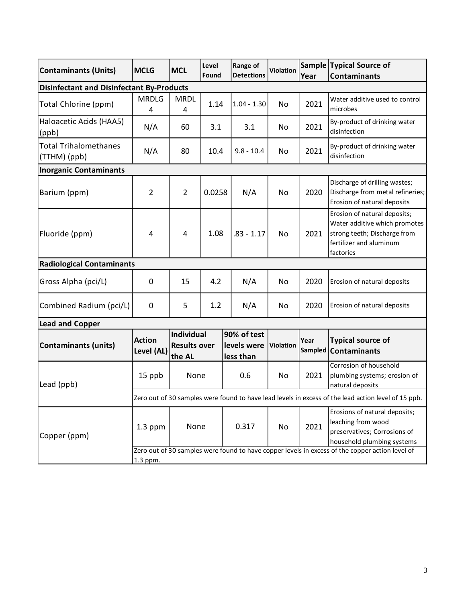| <b>Contaminants (Units)</b>                      | <b>MCLG</b>                                                                                                 | <b>MCL</b>                                  | Level<br>Found | Range of<br><b>Detections</b>           | <b>Violation</b> | Year | Sample Typical Source of<br><b>Contaminants</b>                                                                                       |
|--------------------------------------------------|-------------------------------------------------------------------------------------------------------------|---------------------------------------------|----------------|-----------------------------------------|------------------|------|---------------------------------------------------------------------------------------------------------------------------------------|
| <b>Disinfectant and Disinfectant By-Products</b> |                                                                                                             |                                             |                |                                         |                  |      |                                                                                                                                       |
| Total Chlorine (ppm)                             | <b>MRDLG</b><br>4                                                                                           | <b>MRDL</b><br>4                            | 1.14           | $1.04 - 1.30$                           | No               | 2021 | Water additive used to control<br>microbes                                                                                            |
| Haloacetic Acids (HAA5)<br>(ppb)                 | N/A                                                                                                         | 60                                          | 3.1            | 3.1                                     | No               | 2021 | By-product of drinking water<br>disinfection                                                                                          |
| <b>Total Trihalomethanes</b><br>(TTHM) (ppb)     | N/A                                                                                                         | 80                                          | 10.4           | $9.8 - 10.4$                            | No               | 2021 | By-product of drinking water<br>disinfection                                                                                          |
| <b>Inorganic Contaminants</b>                    |                                                                                                             |                                             |                |                                         |                  |      |                                                                                                                                       |
| Barium (ppm)                                     | $\overline{2}$                                                                                              | $\overline{2}$                              | 0.0258         | N/A                                     | No               | 2020 | Discharge of drilling wastes;<br>Discharge from metal refineries;<br>Erosion of natural deposits                                      |
| Fluoride (ppm)                                   | 4                                                                                                           | 4                                           | 1.08           | $.83 - 1.17$                            | No               | 2021 | Erosion of natural deposits;<br>Water additive which promotes<br>strong teeth; Discharge from<br>fertilizer and aluminum<br>factories |
| <b>Radiological Contaminants</b>                 |                                                                                                             |                                             |                |                                         |                  |      |                                                                                                                                       |
| Gross Alpha (pci/L)                              | 0                                                                                                           | 15                                          | 4.2            | N/A                                     | No               | 2020 | Erosion of natural deposits                                                                                                           |
| Combined Radium (pci/L)                          | 0                                                                                                           | 5                                           | 1.2            | N/A                                     | No               | 2020 | Erosion of natural deposits                                                                                                           |
| <b>Lead and Copper</b>                           |                                                                                                             |                                             |                |                                         |                  |      |                                                                                                                                       |
| <b>Contaminants (units)</b>                      | <b>Action</b><br>Level (AL)                                                                                 | Individual<br><b>Results over</b><br>the AL |                | 90% of test<br>levels were<br>less than | <b>Violation</b> | Year | <b>Typical source of</b><br>Sampled Contaminants                                                                                      |
| Lead (ppb)                                       | 15 ppb                                                                                                      | None                                        |                | 0.6                                     | No               | 2021 | Corrosion of household<br>plumbing systems; erosion of<br>natural deposits                                                            |
|                                                  | Zero out of 30 samples were found to have lead levels in excess of the lead action level of 15 ppb.         |                                             |                |                                         |                  |      |                                                                                                                                       |
| Copper (ppm)                                     | $1.3$ ppm                                                                                                   | None                                        |                | 0.317                                   | No               | 2021 | Erosions of natural deposits;<br>leaching from wood<br>preservatives; Corrosions of<br>household plumbing systems                     |
|                                                  | Zero out of 30 samples were found to have copper levels in excess of the copper action level of<br>1.3 ppm. |                                             |                |                                         |                  |      |                                                                                                                                       |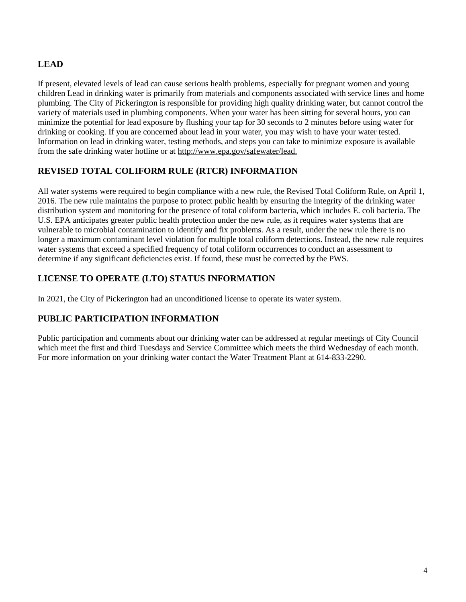# **LEAD**

If present, elevated levels of lead can cause serious health problems, especially for pregnant women and young children Lead in drinking water is primarily from materials and components associated with service lines and home plumbing. The City of Pickerington is responsible for providing high quality drinking water, but cannot control the variety of materials used in plumbing components. When your water has been sitting for several hours, you can minimize the potential for lead exposure by flushing your tap for 30 seconds to 2 minutes before using water for drinking or cooking. If you are concerned about lead in your water, you may wish to have your water tested. Information on lead in drinking water, testing methods, and steps you can take to minimize exposure is available from the safe drinking water hotline or at http://www.epa.gov/safewater/lead.

## **REVISED TOTAL COLIFORM RULE (RTCR) INFORMATION**

All water systems were required to begin compliance with a new rule, the Revised Total Coliform Rule, on April 1, 2016. The new rule maintains the purpose to protect public health by ensuring the integrity of the drinking water distribution system and monitoring for the presence of total coliform bacteria, which includes E. coli bacteria. The U.S. EPA anticipates greater public health protection under the new rule, as it requires water systems that are vulnerable to microbial contamination to identify and fix problems. As a result, under the new rule there is no longer a maximum contaminant level violation for multiple total coliform detections. Instead, the new rule requires water systems that exceed a specified frequency of total coliform occurrences to conduct an assessment to determine if any significant deficiencies exist. If found, these must be corrected by the PWS*.*

## **LICENSE TO OPERATE (LTO) STATUS INFORMATION**

In 2021, the City of Pickerington had an unconditioned license to operate its water system.

# **PUBLIC PARTICIPATION INFORMATION**

Public participation and comments about our drinking water can be addressed at regular meetings of City Council which meet the first and third Tuesdays and Service Committee which meets the third Wednesday of each month. For more information on your drinking water contact the Water Treatment Plant at 614-833-2290.